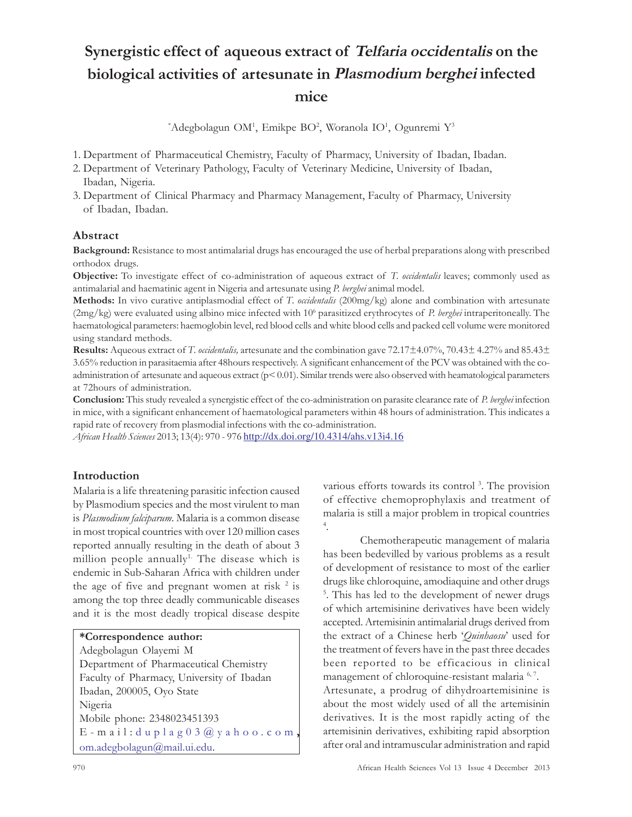# Synergistic effect of aqueous extract of Telfaria occidentalis on the biological activities of artesunate in Plasmodium berghei infected mice

\*Adegbolagun OM<sup>1</sup>, Emikpe BO<sup>2</sup>, Woranola IO<sup>1</sup>, Ogunremi Y<sup>3</sup>

1. Department of Pharmaceutical Chemistry, Faculty of Pharmacy, University of Ibadan, Ibadan.

- 2. Department of Veterinary Pathology, Faculty of Veterinary Medicine, University of Ibadan, Ibadan, Nigeria.
- 3. Department of Clinical Pharmacy and Pharmacy Management, Faculty of Pharmacy, University of Ibadan, Ibadan.

## Abstract

Background: Resistance to most antimalarial drugs has encouraged the use of herbal preparations along with prescribed orthodox drugs.

Objective: To investigate effect of co-administration of aqueous extract of T. occidentalis leaves; commonly used as antimalarial and haematinic agent in Nigeria and artesunate using P. berghei animal model.

Methods: In vivo curative antiplasmodial effect of T. occidentalis (200mg/kg) alone and combination with artesunate (2mg/kg) were evaluated using albino mice infected with 10<sup>6</sup> parasitized erythrocytes of P. berghei intraperitoneally. The haematological parameters: haemoglobin level, red blood cells and white blood cells and packed cell volume were monitored using standard methods.

Results: Aqueous extract of T. occidentalis, artesunate and the combination gave 72.17±4.07%, 70.43± 4.27% and 85.43± 3.65% reduction in parasitaemia after 48hours respectively. A significant enhancement of the PCV was obtained with the coadministration of artesunate and aqueous extract  $(p< 0.01)$ . Similar trends were also observed with heamatological parameters at 72hours of administration.

**Conclusion:** This study revealed a synergistic effect of the co-administration on parasite clearance rate of P. berghei infection in mice, with a significant enhancement of haematological parameters within 48 hours of administration. This indicates a rapid rate of recovery from plasmodial infections with the co-administration.

African Health Sciences 2013; 13(4): 970 - 976 http://dx.doi.org/10.4314/ahs.v13i4.16

# Introduction

Malaria is a life threatening parasitic infection caused by Plasmodium species and the most virulent to man is Plasmodium falciparum. Malaria is a common disease in most tropical countries with over 120 million cases reported annually resulting in the death of about 3 million people annually<sup>1.</sup> The disease which is endemic in Sub-Saharan Africa with children under the age of five and pregnant women at risk  $2$  is among the top three deadly communicable diseases and it is the most deadly tropical disease despite

Adegbolagun Olayemi M Department of Pharmaceutical Chemistry Faculty of Pharmacy, University of Ibadan Ibadan, 200005, Oyo State Nigeria Mobile phone: 2348023451393 E-mail: duplag03@yahoo.com om.adegbolagun@mail.ui.edu.

various efforts towards its control<sup>3</sup>. The provision of effective chemoprophylaxis and treatment of malaria is still a major problem in tropical countries 4 .

Chemotherapeutic management of malaria has been bedevilled by various problems as a result of development of resistance to most of the earlier drugs like chloroquine, amodiaquine and other drugs 5 . This has led to the development of newer drugs of which artemisinine derivatives have been widely accepted. Artemisinin antimalarial drugs derived from the extract of a Chinese herb 'Quinhaosu' used for the treatment of fevers have in the past three decades been reported to be efficacious in clinical management of chloroquine-resistant malaria 6,7. Artesunate, a prodrug of dihydroartemisinine is about the most widely used of all the artemisinin derivatives. It is the most rapidly acting of the artemisinin derivatives, exhibiting rapid absorption after oral and intramuscular administration and rapid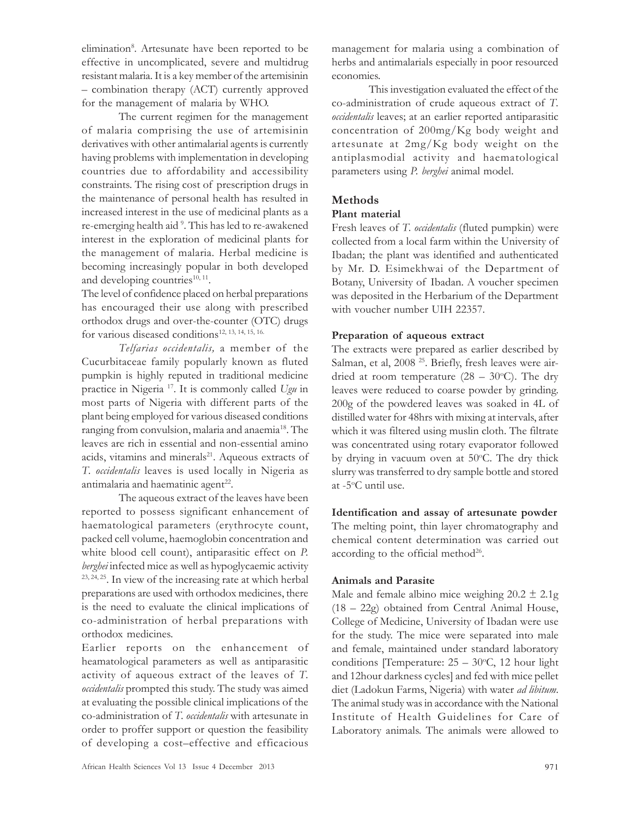elimination<sup>8</sup>. Artesunate have been reported to be effective in uncomplicated, severe and multidrug resistant malaria. It is a key member of the artemisinin – combination therapy (ACT) currently approved for the management of malaria by WHO.

The current regimen for the management of malaria comprising the use of artemisinin derivatives with other antimalarial agents is currently having problems with implementation in developing countries due to affordability and accessibility constraints. The rising cost of prescription drugs in the maintenance of personal health has resulted in increased interest in the use of medicinal plants as a re-emerging health aid <sup>9</sup> . This has led to re-awakened interest in the exploration of medicinal plants for the management of malaria. Herbal medicine is becoming increasingly popular in both developed and developing countries $^{10, 11}$ .

The level of confidence placed on herbal preparations has encouraged their use along with prescribed orthodox drugs and over-the-counter (OTC) drugs for various diseased conditions<sup>12, 13, 14, 15, 16.</sup>

Telfarias occidentalis, a member of the Cucurbitaceae family popularly known as fluted pumpkin is highly reputed in traditional medicine practice in Nigeria <sup>17</sup>. It is commonly called Ugu in most parts of Nigeria with different parts of the plant being employed for various diseased conditions ranging from convulsion, malaria and anaemia<sup>18</sup>. The leaves are rich in essential and non-essential amino acids, vitamins and minerals<sup>21</sup>. Aqueous extracts of T. occidentalis leaves is used locally in Nigeria as antimalaria and haematinic agent<sup>22</sup>.

The aqueous extract of the leaves have been reported to possess significant enhancement of haematological parameters (erythrocyte count, packed cell volume, haemoglobin concentration and white blood cell count), antiparasitic effect on P. berghei infected mice as well as hypoglycaemic activity 23, 24, 25. In view of the increasing rate at which herbal preparations are used with orthodox medicines, there is the need to evaluate the clinical implications of co-administration of herbal preparations with orthodox medicines.

Earlier reports on the enhancement of heamatological parameters as well as antiparasitic activity of aqueous extract of the leaves of T. occidentalis prompted this study. The study was aimed at evaluating the possible clinical implications of the co-administration of T. occidentalis with artesunate in order to proffer support or question the feasibility of developing a cost–effective and efficacious

management for malaria using a combination of herbs and antimalarials especially in poor resourced economies.

This investigation evaluated the effect of the co-administration of crude aqueous extract of T. occidentalis leaves; at an earlier reported antiparasitic concentration of 200mg/Kg body weight and artesunate at 2mg/Kg body weight on the antiplasmodial activity and haematological parameters using P. berghei animal model.

## Methods

### Plant material

Fresh leaves of T. occidentalis (fluted pumpkin) were collected from a local farm within the University of Ibadan; the plant was identified and authenticated by Mr. D. Esimekhwai of the Department of Botany, University of Ibadan. A voucher specimen was deposited in the Herbarium of the Department with voucher number UIH 22357.

### Preparation of aqueous extract

The extracts were prepared as earlier described by Salman, et al, 2008<sup>25</sup>. Briefly, fresh leaves were airdried at room temperature  $(28 - 30^{\circ}C)$ . The dry leaves were reduced to coarse powder by grinding. 200g of the powdered leaves was soaked in 4L of distilled water for 48hrs with mixing at intervals, after which it was filtered using muslin cloth. The filtrate was concentrated using rotary evaporator followed by drying in vacuum oven at 50°C. The dry thick slurry was transferred to dry sample bottle and stored at -5<sup>o</sup>C until use.

Identification and assay of artesunate powder The melting point, thin layer chromatography and chemical content determination was carried out according to the official method<sup>26</sup>.

### Animals and Parasite

Male and female albino mice weighing  $20.2 \pm 2.1$ g (18 – 22g) obtained from Central Animal House, College of Medicine, University of Ibadan were use for the study. The mice were separated into male and female, maintained under standard laboratory conditions [Temperature:  $25 - 30^{\circ}$ C, 12 hour light and 12hour darkness cycles] and fed with mice pellet diet (Ladokun Farms, Nigeria) with water ad libitum. The animal study was in accordance with the National Institute of Health Guidelines for Care of Laboratory animals. The animals were allowed to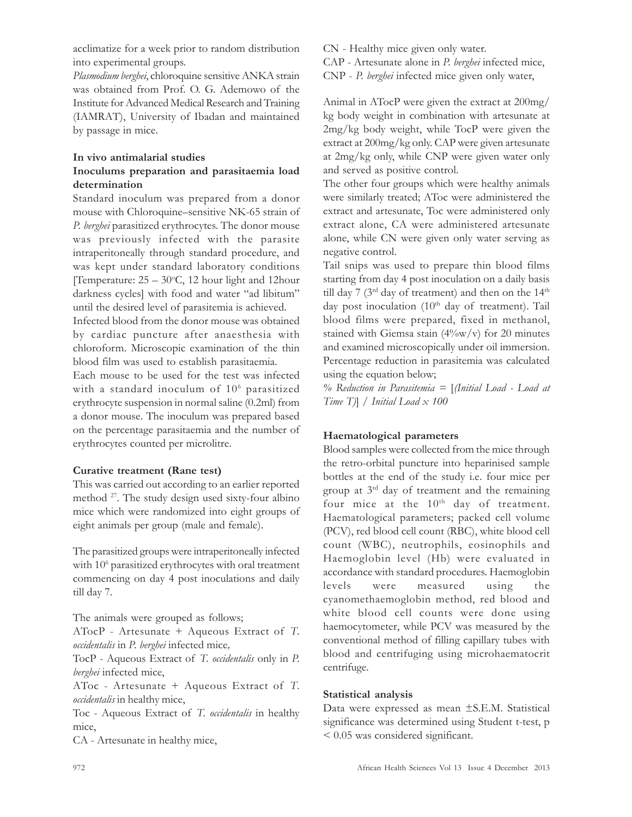acclimatize for a week prior to random distribution into experimental groups.

Plasmodium berghei, chloroquine sensitive ANKA strain was obtained from Prof. O. G. Ademowo of the Institute for Advanced Medical Research and Training (IAMRAT), University of Ibadan and maintained by passage in mice.

#### In vivo antimalarial studies

## Inoculums preparation and parasitaemia load determination

Standard inoculum was prepared from a donor mouse with Chloroquine–sensitive NK-65 strain of P. berghei parasitized erythrocytes. The donor mouse was previously infected with the parasite intraperitoneally through standard procedure, and was kept under standard laboratory conditions [Temperature:  $25 - 30$ °C, 12 hour light and 12 hour darkness cycles] with food and water "ad libitum" until the desired level of parasitemia is achieved.

Infected blood from the donor mouse was obtained by cardiac puncture after anaesthesia with chloroform. Microscopic examination of the thin blood film was used to establish parasitaemia.

Each mouse to be used for the test was infected with a standard inoculum of 10<sup>6</sup> parasitized erythrocyte suspension in normal saline (0.2ml) from a donor mouse. The inoculum was prepared based on the percentage parasitaemia and the number of erythrocytes counted per microlitre.

### Curative treatment (Rane test)

This was carried out according to an earlier reported method <sup>27</sup> . The study design used sixty-four albino mice which were randomized into eight groups of eight animals per group (male and female).

The parasitized groups were intraperitoneally infected with 10<sup>6</sup> parasitized erythrocytes with oral treatment commencing on day 4 post inoculations and daily till day 7.

The animals were grouped as follows;

ATocP - Artesunate + Aqueous Extract of T. occidentalis in P. berghei infected mice,

TocP - Aqueous Extract of T. occidentalis only in P. berghei infected mice,

AToc - Artesunate + Aqueous Extract of T. occidentalis in healthy mice,

Toc - Aqueous Extract of T. occidentalis in healthy mice,

CA - Artesunate in healthy mice,

CN - Healthy mice given only water.

CAP - Artesunate alone in P. berghei infected mice,

CNP - P. berghei infected mice given only water,

Animal in ATocP were given the extract at 200mg/ kg body weight in combination with artesunate at 2mg/kg body weight, while TocP were given the extract at 200mg/kg only. CAP were given artesunate at 2mg/kg only, while CNP were given water only and served as positive control.

The other four groups which were healthy animals were similarly treated; AToc were administered the extract and artesunate, Toc were administered only extract alone, CA were administered artesunate alone, while CN were given only water serving as negative control.

Tail snips was used to prepare thin blood films starting from day 4 post inoculation on a daily basis till day 7 ( $3<sup>rd</sup>$  day of treatment) and then on the  $14<sup>th</sup>$ day post inoculation (10<sup>th</sup> day of treatment). Tail blood films were prepared, fixed in methanol, stained with Giemsa stain (4%w/v) for 20 minutes and examined microscopically under oil immersion. Percentage reduction in parasitemia was calculated using the equation below;

 $%$  Reduction in Parasitemia =  $[$ (Initial Load - Load at Time T)] / Initial Load  $x$  100

## Haematological parameters

Blood samples were collected from the mice through the retro-orbital puncture into heparinised sample bottles at the end of the study i.e. four mice per group at 3rd day of treatment and the remaining four mice at the  $10^{th}$  day of treatment. Haematological parameters; packed cell volume (PCV), red blood cell count (RBC), white blood cell count (WBC), neutrophils, eosinophils and Haemoglobin level (Hb) were evaluated in accordance with standard procedures. Haemoglobin levels were measured using the cyanomethaemoglobin method, red blood and white blood cell counts were done using haemocytometer, while PCV was measured by the conventional method of filling capillary tubes with blood and centrifuging using microhaematocrit centrifuge.

### Statistical analysis

Data were expressed as mean ±S.E.M. Statistical significance was determined using Student t-test, p < 0.05 was considered significant.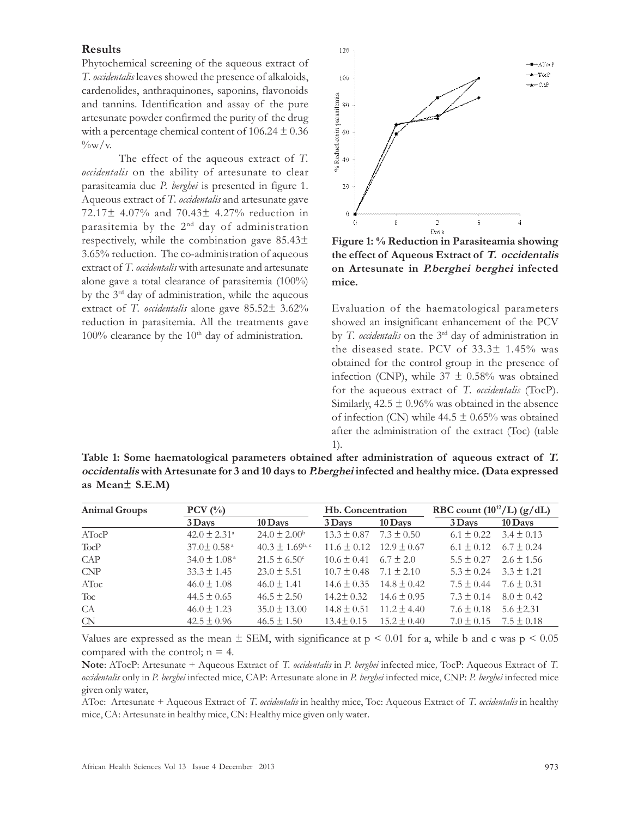#### Results

Phytochemical screening of the aqueous extract of T. *occidentalis* leaves showed the presence of alkaloids, cardenolides, anthraquinones, saponins, flavonoids and tannins. Identification and assay of the pure artesunate powder confirmed the purity of the drug with a percentage chemical content of  $106.24 \pm 0.36$  $\frac{0}{\mathrm{vw}}/v$ .

The effect of the aqueous extract of T. *occidentalis* on the ability of artesunate to clear parasiteamia due P. berghei is presented in figure 1. Aqueous extract of T. *occidentalis* and artesunate gave 72.17± 4.07% and 70.43± 4.27% reduction in parasitemia by the 2nd day of administration respectively, while the combination gave 85.43± 3.65% reduction. The co-administration of aqueous extract of T. occidentalis with artesunate and artesunate alone gave a total clearance of parasitemia (100%) by the 3rd day of administration, while the aqueous extract of T. *occidentalis* alone gave  $85.52 \pm 3.62\%$ reduction in parasitemia. All the treatments gave  $100\%$  clearance by the  $10<sup>th</sup>$  day of administration.



Figure 1: % Reduction in Parasiteamia showing the effect of Aqueous Extract of T. occidentalis on Artesunate in P.berghei berghei infected mice.

Evaluation of the haematological parameters showed an insignificant enhancement of the PCV by T. occidentalis on the 3<sup>rd</sup> day of administration in the diseased state. PCV of 33.3± 1.45% was obtained for the control group in the presence of infection (CNP), while  $37 \pm 0.58\%$  was obtained for the aqueous extract of T. occidentalis (TocP). Similarly,  $42.5 \pm 0.96\%$  was obtained in the absence of infection (CN) while  $44.5 \pm 0.65\%$  was obtained after the administration of the extract (Toc) (table 1).

Table 1: Some haematological parameters obtained after administration of aqueous extract of T. occidentalis with Artesunate for 3 and 10 days to P.berghei infected and healthy mice. (Data expressed as Mean± S.E.M)

| <b>Animal Groups</b> | $PCV$ (%)                    |                              | Hb. Concentration |                 | RBC count $(10^{12}/L)$ (g/dL) |                               |  |
|----------------------|------------------------------|------------------------------|-------------------|-----------------|--------------------------------|-------------------------------|--|
|                      | $3$ Days                     | $10$ Days                    | 3 Days            | 10 Days         | 3 Days                         | 10 Days                       |  |
| ATocP                | $42.0 \pm 2.31^{\circ}$      | $24.0 \pm 2.00^{\rm b}$      | $13.3 \pm 0.87$   | $7.3 \pm 0.50$  |                                | $6.1 \pm 0.22$ $3.4 \pm 0.13$ |  |
| <b>TocP</b>          | $37.0 \pm 0.58$ <sup>a</sup> | $40.3 \pm 1.69^{\text{b,c}}$ | $11.6 \pm 0.12$   | $12.9 \pm 0.67$ | $6.1 \pm 0.12$                 | $6.7 \pm 0.24$                |  |
| CAP                  | $34.0 \pm 1.08^{\circ}$      | $21.5 \pm 6.50^{\circ}$      | $10.6 \pm 0.41$   | $6.7 \pm 2.0$   | $5.5 \pm 0.27$                 | $2.6 \pm 1.56$                |  |
| CNP                  | $33.3 \pm 1.45$              | $23.0 \pm 5.51$              | $10.7 \pm 0.48$   | $7.1 \pm 2.10$  | $5.3 \pm 0.24$                 | $3.3 \pm 1.21$                |  |
| AToc                 | $46.0 \pm 1.08$              | $46.0 \pm 1.41$              | $14.6 \pm 0.35$   | $14.8 \pm 0.42$ | $7.5 \pm 0.44$                 | $7.6 \pm 0.31$                |  |
| Toc.                 | $44.5 \pm 0.65$              | $46.5 \pm 2.50$              | $14.2 \pm 0.32$   | $14.6 \pm 0.95$ | $7.3 \pm 0.14$                 | $8.0 \pm 0.42$                |  |
| CA                   | $46.0 \pm 1.23$              | $35.0 \pm 13.00$             | $14.8 \pm 0.51$   | $11.2 \pm 4.40$ | $7.6 \pm 0.18$                 | $5.6 \pm 2.31$                |  |
| $\alpha$             | $42.5 \pm 0.96$              | $46.5 \pm 1.50$              | $13.4 \pm 0.15$   | $15.2 \pm 0.40$ | $7.0 \pm 0.15$                 | $7.5 \pm 0.18$                |  |

Values are expressed as the mean  $\pm$  SEM, with significance at  $p \le 0.01$  for a, while b and c was  $p \le 0.05$ compared with the control;  $n = 4$ .

Note: ATocP: Artesunate + Aqueous Extract of T. occidentalis in P. berghei infected mice, TocP: Aqueous Extract of T. occidentalis only in P. berghei infected mice, CAP: Artesunate alone in P. berghei infected mice, CNP: P. berghei infected mice given only water,

AToc: Artesunate + Aqueous Extract of T. occidentalis in healthy mice, Toc: Aqueous Extract of T. occidentalis in healthy mice, CA: Artesunate in healthy mice, CN: Healthy mice given only water.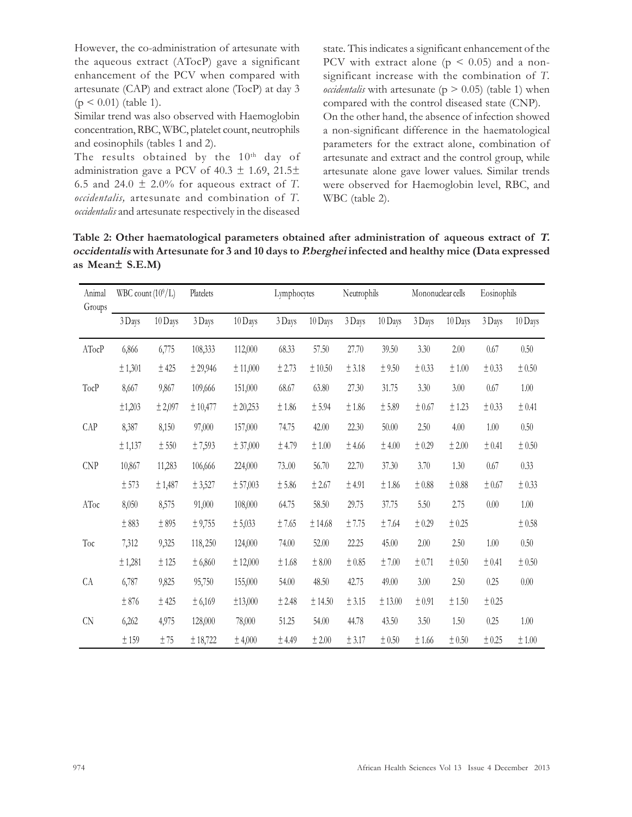However, the co-administration of artesunate with the aqueous extract (ATocP) gave a significant enhancement of the PCV when compared with artesunate (CAP) and extract alone (TocP) at day 3  $(p < 0.01)$  (table 1).

Similar trend was also observed with Haemoglobin concentration, RBC, WBC, platelet count, neutrophils and eosinophils (tables 1 and 2).

The results obtained by the  $10<sup>th</sup>$  day of administration gave a PCV of  $40.3 \pm 1.69$ ,  $21.5 \pm$ 6.5 and 24.0  $\pm$  2.0% for aqueous extract of T. occidentalis, artesunate and combination of T. occidentalis and artesunate respectively in the diseased state. This indicates a significant enhancement of the PCV with extract alone  $(p \le 0.05)$  and a nonsignificant increase with the combination of T. *occidentalis* with artesunate ( $p > 0.05$ ) (table 1) when compared with the control diseased state (CNP). On the other hand, the absence of infection showed a non-significant difference in the haematological parameters for the extract alone, combination of artesunate and extract and the control group, while artesunate alone gave lower values. Similar trends were observed for Haemoglobin level, RBC, and WBC (table 2).

Table 2: Other haematological parameters obtained after administration of aqueous extract of T. occidentalis with Artesunate for 3 and 10 days to P.berghei infected and healthy mice (Data expressed as Mean± S.E.M)

| Animal<br>Groups | WBC count $(10^9/L)$ |            | Platelets |          | Lymphocytes |             | Neutrophils |             | Mononuclear cells |             | Eosinophils |             |
|------------------|----------------------|------------|-----------|----------|-------------|-------------|-------------|-------------|-------------------|-------------|-------------|-------------|
|                  | 3 Days               | 10 Days    | 3 Days    | 10 Days  | 3 Days      | 10 Days     | 3 Days      | 10 Days     | 3 Days            | 10 Days     | 3 Days      | 10 Days     |
| ATocP            | 6,866                | 6,775      | 108,333   | 112,000  | 68.33       | 57.50       | 27.70       | 39.50       | 3.30              | 2.00        | 0.67        | 0.50        |
|                  | ± 1,301              | $\pm$ 425  | ± 29,946  | ± 11,000 | $\pm$ 2.73  | $\pm$ 10.50 | $\pm 3.18$  | $\pm$ 9.50  | ± 0.33            | $\pm\,1.00$ | ± 0.33      | $\pm$ 0.50  |
| TocP             | 8,667                | 9,867      | 109,666   | 151,000  | 68.67       | 63.80       | 27.30       | 31.75       | 3.30              | 3.00        | 0.67        | $1.00\,$    |
|                  | ±1,203               | ± 2,097    | ± 10,477  | ± 20,253 | $\pm\,1.86$ | $\pm$ 5.94  | $\pm\,1.86$ | $\pm$ 5.89  | $\pm 0.67$        | $\pm$ 1.23  | ± 0.33      | ± 0.41      |
| CAP              | 8,387                | 8,150      | 97,000    | 157,000  | 74.75       | 42.00       | 22.30       | 50.00       | 2.50              | 4.00        | $1.00\,$    | 0.50        |
|                  | ± 1,137              | $\pm$ 550  | ±7,593    | ± 37,000 | $\pm$ 4.79  | $\pm\,1.00$ | $\pm$ 4.66  | $\pm$ 4.00  | $\pm$ 0.29        | $\pm$ 2.00  | ± 0.41      | $\pm$ 0.50  |
| CNP              | 10,867               | 11,283     | 106,666   | 224,000  | 73.00       | 56.70       | 22.70       | 37.30       | 3.70              | 1.30        | $0.67\,$    | 0.33        |
|                  | $\pm$ 573            | ± 1,487    | ± 3,527   | ± 57,003 | $\pm$ 5.86  | $\pm$ 2.67  | $\pm$ 4.91  | $\pm\,1.86$ | ±0.88             | ±0.88       | ± 0.67      | ± 0.33      |
| AToc             | 8,050                | 8,575      | 91,000    | 108,000  | 64.75       | 58.50       | 29.75       | 37.75       | 5.50              | 2.75        | $0.00\,$    | $1.00\,$    |
|                  | $\pm\,883$           | $\pm\,895$ | ± 9,755   | ± 5,033  | $\pm$ 7.65  | ± 14.68     | ±7.75       | $\pm$ 7.64  | ± 0.29            | ± 0.25      |             | ± 0.58      |
| Toc              | 7,312                | 9,325      | 118,250   | 124,000  | 74.00       | 52.00       | 22.25       | 45.00       | 2.00              | 2.50        | $1.00\,$    | 0.50        |
|                  | ± 1,281              | $\pm$ 125  | ± 6,860   | ± 12,000 | ±1.68       | $\pm$ 8.00  | $\pm\,0.85$ | $\pm$ 7.00  | ± 0.71            | $\pm$ 0.50  | ± 0.41      | ± 0.50      |
| CA               | 6,787                | 9,825      | 95,750    | 155,000  | 54.00       | 48.50       | 42.75       | 49.00       | 3.00              | 2.50        | 0.25        | $0.00\,$    |
|                  | $\pm$ 876            | $\pm$ 425  | ± 6,169   | ±13,000  | ± 2.48      | ± 14.50     | $\pm$ 3.15  | $\pm$ 13.00 | ± 0.91            | ±1.50       | ± 0.25      |             |
| ${\rm CN}$       | 6,262                | 4,975      | 128,000   | 78,000   | 51.25       | 54.00       | 44.78       | 43.50       | 3.50              | 1.50        | 0.25        | 1.00        |
|                  | ±159                 | ±75        | ± 18,722  | ± 4,000  | ± 4.49      | ± 2.00      | ± 3.17      | ± 0.50      | ±1.66             | ± 0.50      | ± 0.25      | $\pm\,1.00$ |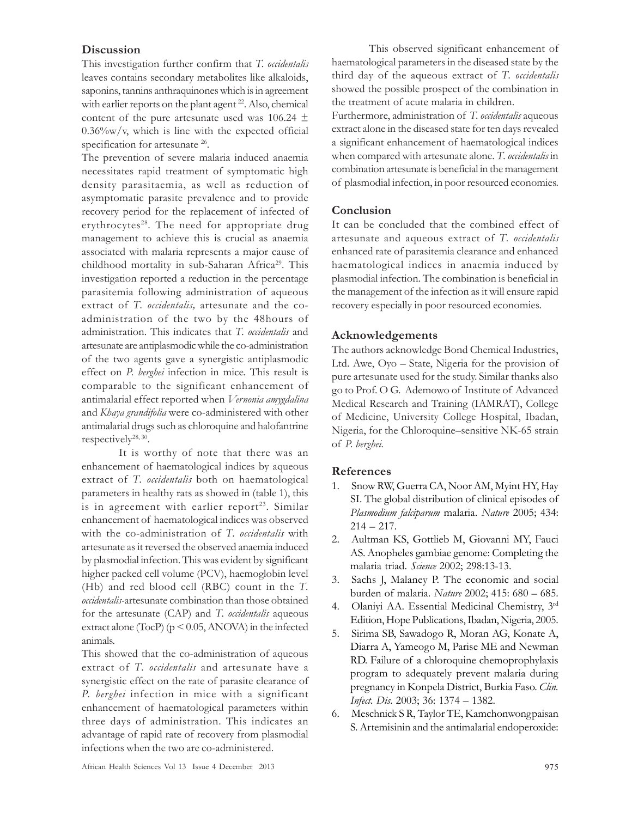### **Discussion**

This investigation further confirm that T. occidentalis leaves contains secondary metabolites like alkaloids, saponins, tannins anthraquinones which is in agreement with earlier reports on the plant agent <sup>22</sup>. Also, chemical content of the pure artesunate used was 106.24  $\pm$  $0.36\%$ w/v, which is line with the expected official specification for artesunate <sup>26</sup>.

The prevention of severe malaria induced anaemia necessitates rapid treatment of symptomatic high density parasitaemia, as well as reduction of asymptomatic parasite prevalence and to provide recovery period for the replacement of infected of erythrocytes $28$ . The need for appropriate drug management to achieve this is crucial as anaemia associated with malaria represents a major cause of childhood mortality in sub-Saharan Africa<sup>29</sup>. This investigation reported a reduction in the percentage parasitemia following administration of aqueous extract of T. occidentalis, artesunate and the coadministration of the two by the 48hours of administration. This indicates that T. occidentalis and artesunate are antiplasmodic while the co-administration of the two agents gave a synergistic antiplasmodic effect on P. berghei infection in mice. This result is comparable to the significant enhancement of antimalarial effect reported when Vernonia amygdalina and Khaya grandifolia were co-administered with other antimalarial drugs such as chloroquine and halofantrine respectively<sup>28, 30</sup>.

It is worthy of note that there was an enhancement of haematological indices by aqueous extract of T. *occidentalis* both on haematological parameters in healthy rats as showed in (table 1), this is in agreement with earlier report<sup>23</sup>. Similar enhancement of haematological indices was observed with the co-administration of T. occidentalis with artesunate as it reversed the observed anaemia induced by plasmodial infection. This was evident by significant higher packed cell volume (PCV), haemoglobin level (Hb) and red blood cell (RBC) count in the T. occidentalis-artesunate combination than those obtained for the artesunate (CAP) and T. *occidentalis* aqueous extract alone (TocP) ( $p < 0.05$ , ANOVA) in the infected animals.

This showed that the co-administration of aqueous extract of T. occidentalis and artesunate have a synergistic effect on the rate of parasite clearance of P. berghei infection in mice with a significant enhancement of haematological parameters within three days of administration. This indicates an advantage of rapid rate of recovery from plasmodial infections when the two are co-administered.

This observed significant enhancement of haematological parameters in the diseased state by the third day of the aqueous extract of T. occidentalis showed the possible prospect of the combination in the treatment of acute malaria in children.

Furthermore, administration of T. *occidentalis* aqueous extract alone in the diseased state for ten days revealed a significant enhancement of haematological indices when compared with artesunate alone. T. occidentalis in combination artesunate is beneficial in the management of plasmodial infection, in poor resourced economies.

## Conclusion

It can be concluded that the combined effect of artesunate and aqueous extract of T. occidentalis enhanced rate of parasitemia clearance and enhanced haematological indices in anaemia induced by plasmodial infection. The combination is beneficial in the management of the infection as it will ensure rapid recovery especially in poor resourced economies.

## Acknowledgements

The authors acknowledge Bond Chemical Industries, Ltd. Awe, Oyo – State, Nigeria for the provision of pure artesunate used for the study. Similar thanks also go to Prof. O G. Ademowo of Institute of Advanced Medical Research and Training (IAMRAT), College of Medicine, University College Hospital, Ibadan, Nigeria, for the Chloroquine–sensitive NK-65 strain of P. berghei.

## References

- 1. Snow RW, Guerra CA, Noor AM, Myint HY, Hay SI. The global distribution of clinical episodes of Plasmodium falciparum malaria. Nature 2005; 434:  $214 - 217.$
- 2. Aultman KS, Gottlieb M, Giovanni MY, Fauci AS. Anopheles gambiae genome: Completing the malaria triad. Science 2002; 298:13-13.
- 3. Sachs J, Malaney P. The economic and social burden of malaria. Nature 2002; 415: 680 – 685.
- 4. Olaniyi AA. Essential Medicinal Chemistry, 3rd Edition, Hope Publications, Ibadan, Nigeria, 2005.
- 5. Sirima SB, Sawadogo R, Moran AG, Konate A, Diarra A, Yameogo M, Parise ME and Newman RD. Failure of a chloroquine chemoprophylaxis program to adequately prevent malaria during pregnancy in Konpela District, Burkia Faso. Clin. Infect. Dis. 2003; 36: 1374 – 1382.
- 6. Meschnick S R, Taylor TE, Kamchonwongpaisan S. Artemisinin and the antimalarial endoperoxide: